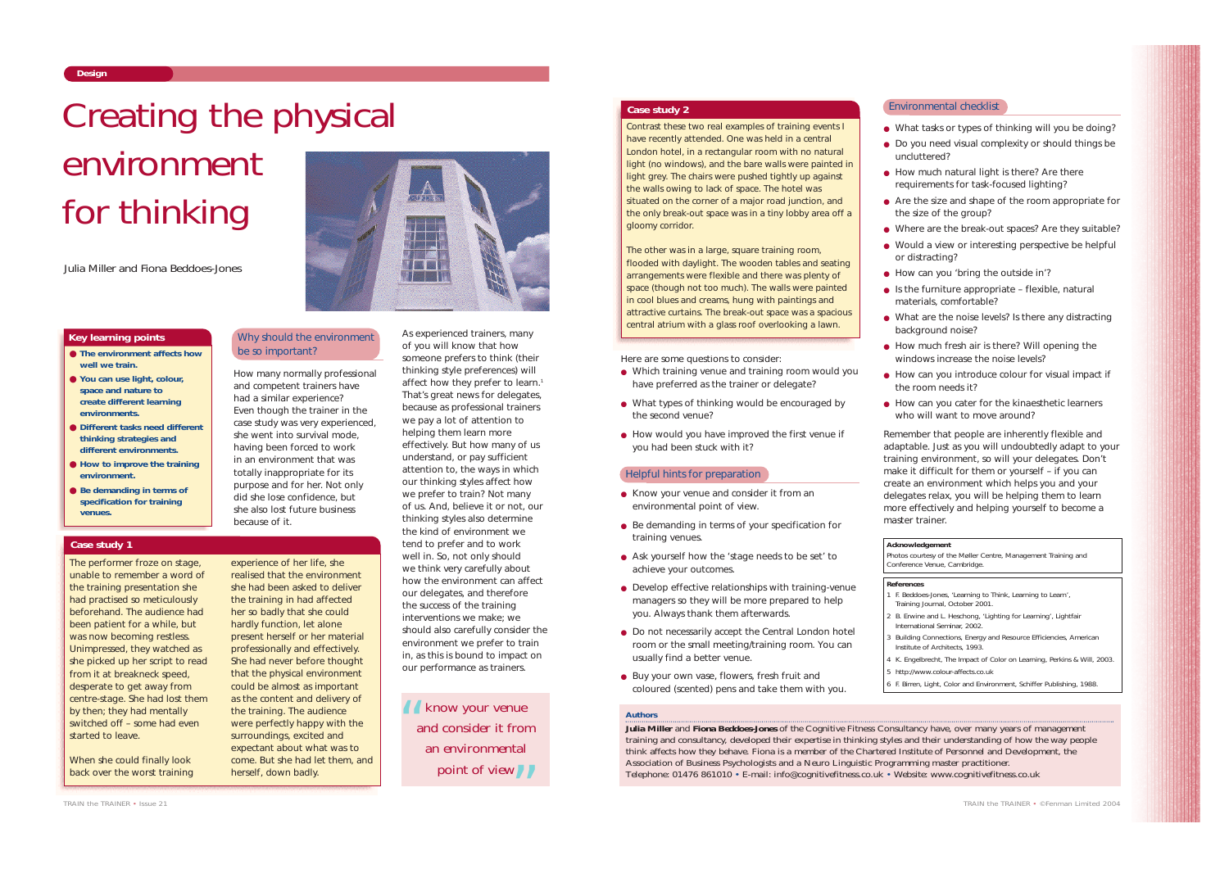and competent trainers have had a similar experience? Even though the trainer in the case study was very experienced, she went into survival mode, having been forced to work in an environment that was totally inappropriate for its purpose and for her. Not only did she lose confidence, but she also lost future business because of it.

As experienced trainers, many of you will know that how

### because as professional trainers we pay a lot of attention to helping them learn more effectively. But how many of us

someone prefers to think (their thinking style preferences) will affect how they prefer to learn.<sup>1</sup> That's great news for delegates, understand, or pay sufficient attention to, the ways in which our thinking styles affect how we prefer to train? Not many of us. And, believe it or not, our thinking styles also determine the kind of environment we tend to prefer and to work well in. So, not only should we think very carefully about how the environment can affect our delegates, and therefore the success of the training interventions we make; we should also carefully consider the environment we prefer to train in, as this is bound to impact on our performance as trainers.

*TRAIN the TRAINER • Issue 21*

#### *Authors*

- 
- What tasks or types of thinking will you be doing? ● Do you need visual complexity or should things be uncluttered?
- 
- Are the size and shape of the room appropriate for the size of the group?
	-
	- Where are the break-out spaces? Are they suitable? ● Would a view or interesting perspective be helpful or distracting?
	-
	- $\bullet$  Is the furniture appropriate flexible, natural materials, comfortable?
	-
	-
	- How can you cater for the kinaesthetic learners who will want to move around?

**Julia Miller** and **Fiona Beddoes-Jones** of the Cognitive Fitness Consultancy have, over many years of management training and consultancy, developed their expertise in thinking styles and their understanding of how the way people think affects how they behave. Fiona is a member of the Chartered Institute of Personnel and Development, the Association of Business Psychologists and a Neuro Linguistic Programming master practitioner. Telephone: 01476 861010 • E-mail: info@cognitivefitness.co.uk • Website: www.cognitivefitness.co.uk

# Creating the physical environment for thinking

Here are some questions to consider:

- How much natural light is there? Are there requirements for task-focused lighting?
- How can you 'bring the outside in'?
- What are the noise levels? Is there any distracting background noise?
- How much fresh air is there? Will opening the windows increase the noise levels?
- How can you introduce colour for visual impact if the room needs it?
- Remember that people are inherently flexible and adaptable. Just as you will undoubtedly adapt to your training environment, so will your delegates. Don't make it difficult for them or yourself – if you can create an environment which helps you and your delegates relax, you will be helping them to learn more effectively and helping yourself to become a

- Which training venue and training room would you have preferred as the trainer or delegate?
- What types of thinking would be encouraged by the second venue?
- How would you have improved the first venue if you had been stuck with it?

- Know your venue and consider it from an environmental point of view.
- Be demanding in terms of your specification for training venues.
- Ask yourself how the 'stage needs to be set' to achieve your outcomes.
- Develop effective relationships with training-venue managers so they will be more prepared to help you. Always thank them afterwards.
- Do not necessarily accept the Central London hotel room or the small meeting/training room. You can usually find a better venue.
- Buy your own vase, flowers, fresh fruit and coloured (scented) pens and take them with you.

How many normally professional Why should the environment be so important?

> Photos courtesy of the Møller Centre, Management Training and Conference Venue, Cambridge.

master trainer.

*Julia Miller and Fiona Beddoes-Jones*

#### Environmental checklist

#### Helpful hints for preparation

- **The environment affects how well we train.**
- **You can use light, colour, space and nature to create different learning environments.**
- **Different tasks need different thinking strategies and different environments.**
- **How to improve the training environment.**
- **Be demanding in terms of specification for training venues.**

### **Key learning points**

The performer froze on stage, unable to remember a word of the training presentation she had practised so meticulously beforehand. The audience had been patient for a while, but was now becoming restless. Unimpressed, they watched as she picked up her script to read from it at breakneck speed, desperate to get away from centre-stage. She had lost them by then; they had mentally switched off – some had even started to leave.

When she could finally look back over the worst training

experience of her life, she realised that the environment she had been asked to deliver the training in had affected her so badly that she could hardly function, let alone present herself or her material professionally and effectively. She had never before thought that the physical environment could be almost as important as the content and delivery of the training. The audience were perfectly happy with the surroundings, excited and expectant about what was to come. But she had let them, and herself, down badly.

### **Case study 1**

Contrast these two real examples of training events I have recently attended. One was held in a central London hotel, in a rectangular room with no natural light (no windows), and the bare walls were painted in light grey. The chairs were pushed tightly up against the walls owing to lack of space. The hotel was situated on the corner of a major road junction, and the only break-out space was in a tiny lobby area off a gloomy corridor.

The other was in a large, square training room, flooded with daylight. The wooden tables and seating arrangements were flexible and there was plenty of space (though not too much). The walls were painted in cool blues and creams, hung with paintings and attractive curtains. The break-out space was a spacious central atrium with a glass roof overlooking a lawn.

**Case study 2**

## **References**

- 1 F. Beddoes-Jones, 'Learning to Think, Learning to Learn', *Training Journal,* October 2001.
- 2 B. Erwine and L. Heschong, 'Lighting for Learning', Lightfair International Seminar, 2002.
- 
- 
- 
- 
- 

- 3 *Building Connections, Energy and Resource Efficiencies*, American Institute of Architects, 1993.
- 4 K. Engelbrecht, *The Impact of Color on Learning*, Perkins & Will, 2003. 5 http://www.colour-affects.co.uk
- 6 F. Birren, *Light, Color and Environment*, Schiffer Publishing, 1988.

# **Acknowledgement**

*know your venue and consider it from an environmental point of view* ""